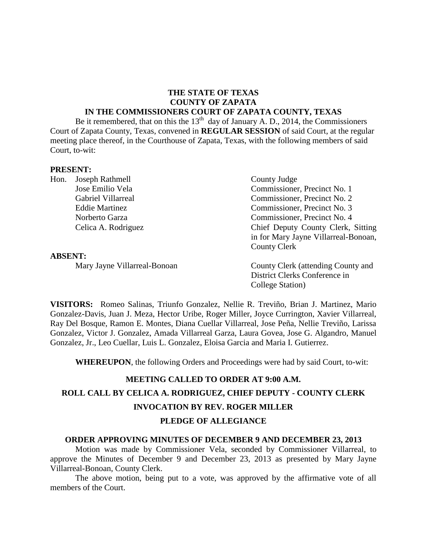# **THE STATE OF TEXAS COUNTY OF ZAPATA**

## **IN THE COMMISSIONERS COURT OF ZAPATA COUNTY, TEXAS**

Be it remembered, that on this the  $13<sup>th</sup>$  day of January A. D., 2014, the Commissioners Court of Zapata County, Texas, convened in **REGULAR SESSION** of said Court, at the regular meeting place thereof, in the Courthouse of Zapata, Texas, with the following members of said Court, to-wit:

#### **PRESENT:**

Hon. Joseph Rathmell County Judge

#### **ABSENT:**

Jose Emilio Vela Commissioner, Precinct No. 1 Gabriel Villarreal Commissioner, Precinct No. 2 Eddie Martinez Commissioner, Precinct No. 3 Norberto Garza Commissioner, Precinct No. 4 Celica A. Rodriguez Chief Deputy County Clerk, Sitting in for Mary Jayne Villarreal-Bonoan, County Clerk

Mary Jayne Villarreal-Bonoan County Clerk (attending County and District Clerks Conference in College Station)

**VISITORS:** Romeo Salinas, Triunfo Gonzalez, Nellie R. Treviño, Brian J. Martinez, Mario Gonzalez-Davis, Juan J. Meza, Hector Uribe, Roger Miller, Joyce Currington, Xavier Villarreal, Ray Del Bosque, Ramon E. Montes, Diana Cuellar Villarreal, Jose Peña, Nellie Treviño, Larissa Gonzalez, Victor J. Gonzalez, Amada Villarreal Garza, Laura Govea, Jose G. Algandro, Manuel Gonzalez, Jr., Leo Cuellar, Luis L. Gonzalez, Eloisa Garcia and Maria I. Gutierrez.

**WHEREUPON**, the following Orders and Proceedings were had by said Court, to-wit:

# **MEETING CALLED TO ORDER AT 9:00 A.M. ROLL CALL BY CELICA A. RODRIGUEZ, CHIEF DEPUTY - COUNTY CLERK INVOCATION BY REV. ROGER MILLER**

#### **PLEDGE OF ALLEGIANCE**

#### **ORDER APPROVING MINUTES OF DECEMBER 9 AND DECEMBER 23, 2013**

Motion was made by Commissioner Vela, seconded by Commissioner Villarreal, to approve the Minutes of December 9 and December 23, 2013 as presented by Mary Jayne Villarreal-Bonoan, County Clerk.

The above motion, being put to a vote, was approved by the affirmative vote of all members of the Court.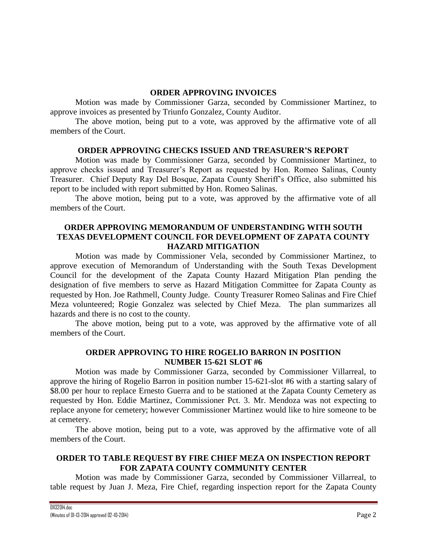## **ORDER APPROVING INVOICES**

Motion was made by Commissioner Garza, seconded by Commissioner Martinez, to approve invoices as presented by Triunfo Gonzalez, County Auditor.

The above motion, being put to a vote, was approved by the affirmative vote of all members of the Court.

#### **ORDER APPROVING CHECKS ISSUED AND TREASURER'S REPORT**

Motion was made by Commissioner Garza, seconded by Commissioner Martinez, to approve checks issued and Treasurer's Report as requested by Hon. Romeo Salinas, County Treasurer. Chief Deputy Ray Del Bosque, Zapata County Sheriff's Office, also submitted his report to be included with report submitted by Hon. Romeo Salinas.

The above motion, being put to a vote, was approved by the affirmative vote of all members of the Court.

## **ORDER APPROVING MEMORANDUM OF UNDERSTANDING WITH SOUTH TEXAS DEVELOPMENT COUNCIL FOR DEVELOPMENT OF ZAPATA COUNTY HAZARD MITIGATION**

Motion was made by Commissioner Vela, seconded by Commissioner Martinez, to approve execution of Memorandum of Understanding with the South Texas Development Council for the development of the Zapata County Hazard Mitigation Plan pending the designation of five members to serve as Hazard Mitigation Committee for Zapata County as requested by Hon. Joe Rathmell, County Judge. County Treasurer Romeo Salinas and Fire Chief Meza volunteered; Rogie Gonzalez was selected by Chief Meza. The plan summarizes all hazards and there is no cost to the county.

The above motion, being put to a vote, was approved by the affirmative vote of all members of the Court.

## **ORDER APPROVING TO HIRE ROGELIO BARRON IN POSITION NUMBER 15-621 SLOT #6**

Motion was made by Commissioner Garza, seconded by Commissioner Villarreal, to approve the hiring of Rogelio Barron in position number 15-621-slot #6 with a starting salary of \$8.00 per hour to replace Ernesto Guerra and to be stationed at the Zapata County Cemetery as requested by Hon. Eddie Martinez, Commissioner Pct. 3. Mr. Mendoza was not expecting to replace anyone for cemetery; however Commissioner Martinez would like to hire someone to be at cemetery.

The above motion, being put to a vote, was approved by the affirmative vote of all members of the Court.

## **ORDER TO TABLE REQUEST BY FIRE CHIEF MEZA ON INSPECTION REPORT FOR ZAPATA COUNTY COMMUNITY CENTER**

Motion was made by Commissioner Garza, seconded by Commissioner Villarreal, to table request by Juan J. Meza, Fire Chief, regarding inspection report for the Zapata County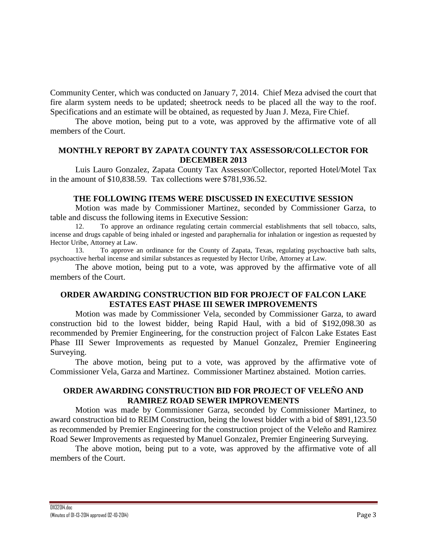Community Center, which was conducted on January 7, 2014. Chief Meza advised the court that fire alarm system needs to be updated; sheetrock needs to be placed all the way to the roof. Specifications and an estimate will be obtained, as requested by Juan J. Meza, Fire Chief.

The above motion, being put to a vote, was approved by the affirmative vote of all members of the Court.

#### **MONTHLY REPORT BY ZAPATA COUNTY TAX ASSESSOR/COLLECTOR FOR DECEMBER 2013**

Luis Lauro Gonzalez, Zapata County Tax Assessor/Collector, reported Hotel/Motel Tax in the amount of \$10,838.59. Tax collections were \$781,936.52.

#### **THE FOLLOWING ITEMS WERE DISCUSSED IN EXECUTIVE SESSION**

Motion was made by Commissioner Martinez, seconded by Commissioner Garza, to table and discuss the following items in Executive Session:

12. To approve an ordinance regulating certain commercial establishments that sell tobacco, salts, incense and drugs capable of being inhaled or ingested and paraphernalia for inhalation or ingestion as requested by Hector Uribe, Attorney at Law.

13. To approve an ordinance for the County of Zapata, Texas, regulating psychoactive bath salts, psychoactive herbal incense and similar substances as requested by Hector Uribe, Attorney at Law.

The above motion, being put to a vote, was approved by the affirmative vote of all members of the Court.

## **ORDER AWARDING CONSTRUCTION BID FOR PROJECT OF FALCON LAKE ESTATES EAST PHASE III SEWER IMPROVEMENTS**

Motion was made by Commissioner Vela, seconded by Commissioner Garza, to award construction bid to the lowest bidder, being Rapid Haul, with a bid of \$192,098.30 as recommended by Premier Engineering, for the construction project of Falcon Lake Estates East Phase III Sewer Improvements as requested by Manuel Gonzalez, Premier Engineering Surveying.

The above motion, being put to a vote, was approved by the affirmative vote of Commissioner Vela, Garza and Martinez. Commissioner Martinez abstained. Motion carries.

## **ORDER AWARDING CONSTRUCTION BID FOR PROJECT OF VELEÑO AND RAMIREZ ROAD SEWER IMPROVEMENTS**

Motion was made by Commissioner Garza, seconded by Commissioner Martinez, to award construction bid to REIM Construction, being the lowest bidder with a bid of \$891,123.50 as recommended by Premier Engineering for the construction project of the Veleño and Ramirez Road Sewer Improvements as requested by Manuel Gonzalez, Premier Engineering Surveying.

The above motion, being put to a vote, was approved by the affirmative vote of all members of the Court.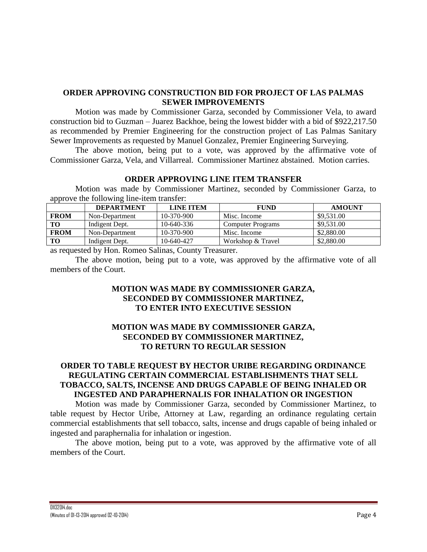#### **ORDER APPROVING CONSTRUCTION BID FOR PROJECT OF LAS PALMAS SEWER IMPROVEMENTS**

Motion was made by Commissioner Garza, seconded by Commissioner Vela, to award construction bid to Guzman – Juarez Backhoe, being the lowest bidder with a bid of \$922,217.50 as recommended by Premier Engineering for the construction project of Las Palmas Sanitary Sewer Improvements as requested by Manuel Gonzalez, Premier Engineering Surveying.

The above motion, being put to a vote, was approved by the affirmative vote of Commissioner Garza, Vela, and Villarreal. Commissioner Martinez abstained. Motion carries.

#### **ORDER APPROVING LINE ITEM TRANSFER**

Motion was made by Commissioner Martinez, seconded by Commissioner Garza, to approve the following line-item transfer:

|             | <b>DEPARTMENT</b> | <b>LINE ITEM</b> | <b>FUND</b>              | <b>AMOUNT</b> |
|-------------|-------------------|------------------|--------------------------|---------------|
| <b>FROM</b> | Non-Department    | $10-370-900$     | Misc. Income             | \$9,531.00    |
| TO -        | Indigent Dept.    | 10-640-336       | <b>Computer Programs</b> | \$9,531.00    |
| <b>FROM</b> | Non-Department    | $10-370-900$     | Misc. Income             | \$2,880.00    |
| TО          | Indigent Dept.    | 10-640-427       | Workshop & Travel        | \$2,880.00    |

as requested by Hon. Romeo Salinas, County Treasurer.

The above motion, being put to a vote, was approved by the affirmative vote of all members of the Court.

## **MOTION WAS MADE BY COMMISSIONER GARZA, SECONDED BY COMMISSIONER MARTINEZ, TO ENTER INTO EXECUTIVE SESSION**

## **MOTION WAS MADE BY COMMISSIONER GARZA, SECONDED BY COMMISSIONER MARTINEZ, TO RETURN TO REGULAR SESSION**

# **ORDER TO TABLE REQUEST BY HECTOR URIBE REGARDING ORDINANCE REGULATING CERTAIN COMMERCIAL ESTABLISHMENTS THAT SELL TOBACCO, SALTS, INCENSE AND DRUGS CAPABLE OF BEING INHALED OR INGESTED AND PARAPHERNALIS FOR INHALATION OR INGESTION**

Motion was made by Commissioner Garza, seconded by Commissioner Martinez, to table request by Hector Uribe, Attorney at Law, regarding an ordinance regulating certain commercial establishments that sell tobacco, salts, incense and drugs capable of being inhaled or ingested and paraphernalia for inhalation or ingestion.

The above motion, being put to a vote, was approved by the affirmative vote of all members of the Court.